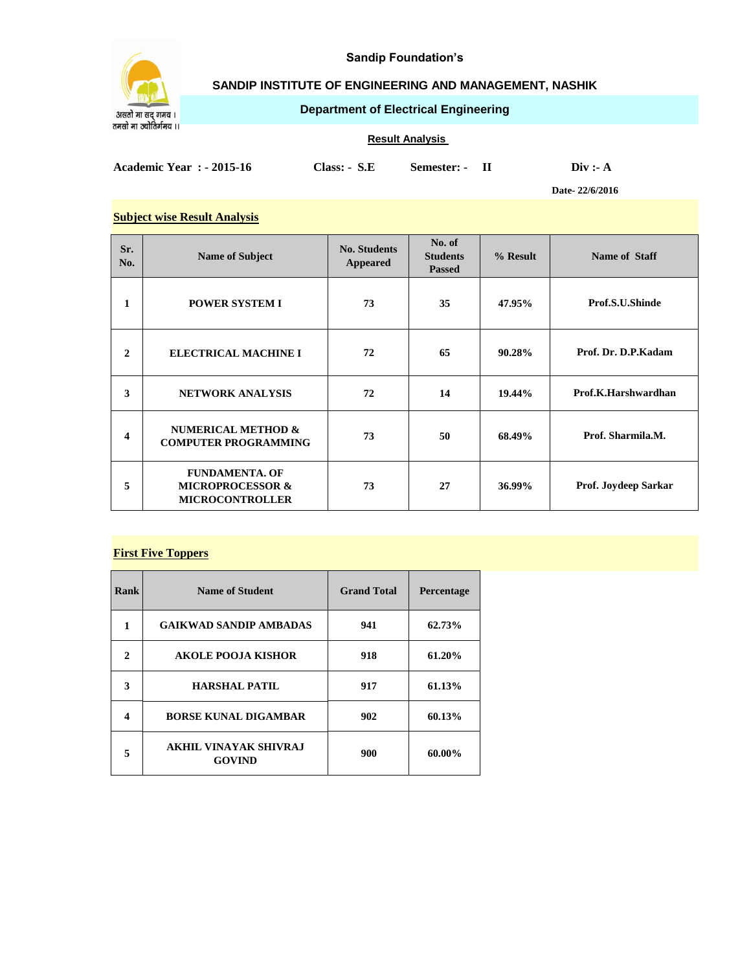

**Sandip Foundation's**

# **SANDIP INSTITUTE OF ENGINEERING AND MANAGEMENT, NASHIK**

**Department of Electrical Engineering**

#### **Result Analysis**

**Academic Year : - 2015-16 Class: - S.E Semester: - II Div :- A**

**Date- 22/6/2016**

#### **Subject wise Result Analysis**

| Sr.<br>No.              | <b>Name of Subject</b>                                                         | <b>No. Students</b><br>Appeared | No. of<br><b>Students</b><br><b>Passed</b> | % Result | Name of Staff        |
|-------------------------|--------------------------------------------------------------------------------|---------------------------------|--------------------------------------------|----------|----------------------|
| 1                       | <b>POWER SYSTEM I</b>                                                          | 73                              | 35                                         | 47.95%   | Prof.S.U.Shinde      |
| $\mathbf{2}$            | <b>ELECTRICAL MACHINE I</b>                                                    | 72                              | 65                                         | 90.28%   | Prof. Dr. D.P. Kadam |
| 3                       | <b>NETWORK ANALYSIS</b>                                                        | 72                              | 14                                         | 19.44%   | Prof.K.Harshwardhan  |
| $\overline{\mathbf{4}}$ | <b>NUMERICAL METHOD &amp;</b><br><b>COMPUTER PROGRAMMING</b>                   | 73                              | 50                                         | 68.49%   | Prof. Sharmila.M.    |
| 5                       | <b>FUNDAMENTA. OF</b><br><b>MICROPROCESSOR &amp;</b><br><b>MICROCONTROLLER</b> | 73                              | 27                                         | 36.99%   | Prof. Joydeep Sarkar |

#### **First Five Toppers**

| Rank | <b>Name of Student</b>                        | <b>Grand Total</b> | <b>Percentage</b> |
|------|-----------------------------------------------|--------------------|-------------------|
| 1    | <b>GAIKWAD SANDIP AMBADAS</b>                 | 941                | 62.73%            |
| 2    | <b>AKOLE POOJA KISHOR</b>                     | 918                | 61.20%            |
| 3    | <b>HARSHAL PATIL</b>                          | 917                | 61.13%            |
| 4    | <b>BORSE KUNAL DIGAMBAR</b>                   | 902                | 60.13%            |
| 5    | <b>AKHIL VINAYAK SHIVRAJ</b><br><b>GOVIND</b> | 900                | 60.00%            |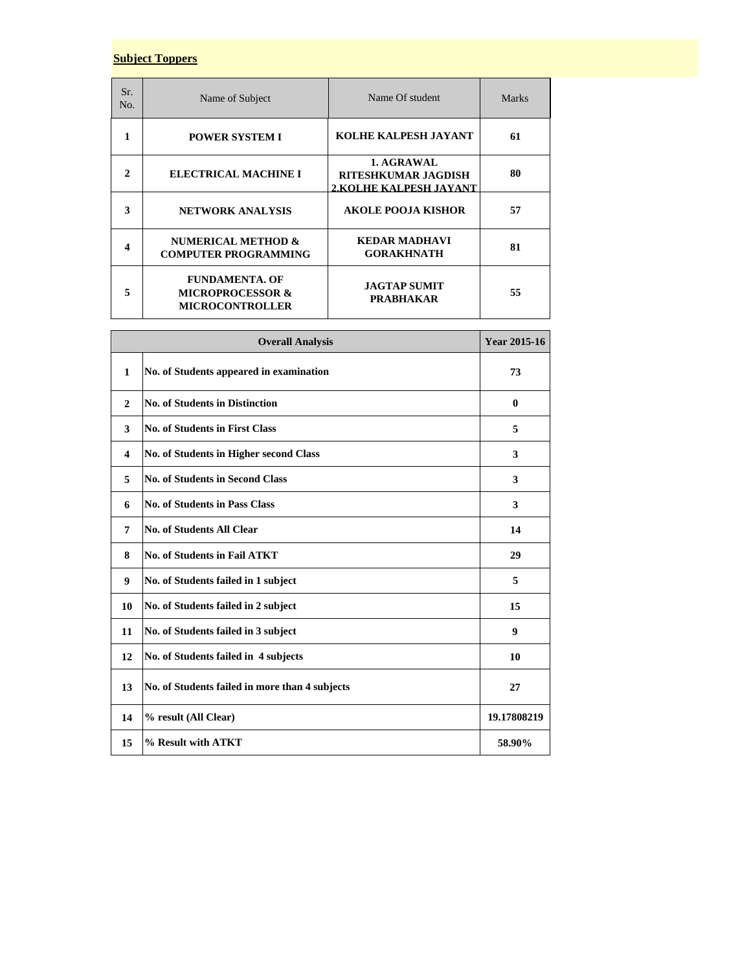# **Subject Toppers**

| Sr.<br>No. | Name of Subject                                                                | Name Of student                                                    | <b>Marks</b> |
|------------|--------------------------------------------------------------------------------|--------------------------------------------------------------------|--------------|
|            | <b>POWER SYSTEM I</b>                                                          | KOLHE KALPESH JAYANT                                               | 61           |
| 2          | ELECTRICAL MACHINE I                                                           | 1. AGRAWAL<br><b>RITESHKUMAR JAGDISH</b><br>2.KOLHE KALPESH JAYANT | 80           |
| 3          | <b>NETWORK ANALYSIS</b>                                                        | <b>AKOLE POOJA KISHOR</b>                                          | 57           |
| 4          | NUMERICAL METHOD &<br><b>COMPUTER PROGRAMMING</b>                              | <b>KEDAR MADHAVI</b><br><b>GORAKHNATH</b>                          | 81           |
| 5          | <b>FUNDAMENTA. OF</b><br><b>MICROPROCESSOR &amp;</b><br><b>MICROCONTROLLER</b> | <b>JAGTAP SUMIT</b><br><b>PRABHAKAR</b>                            | 55           |

| <b>Overall Analysis</b> |                                                | <b>Year 2015-16</b> |
|-------------------------|------------------------------------------------|---------------------|
| $\mathbf{1}$            | No. of Students appeared in examination        | 73                  |
| $\mathbf{2}$            | <b>No. of Students in Distinction</b>          | $\bf{0}$            |
| 3                       | <b>No. of Students in First Class</b>          | 5                   |
| $\overline{\mathbf{4}}$ | No. of Students in Higher second Class         | 3                   |
| 5                       | <b>No. of Students in Second Class</b>         | 3                   |
| 6                       | <b>No. of Students in Pass Class</b>           | 3                   |
| 7                       | <b>No. of Students All Clear</b>               | 14                  |
| 8                       | <b>No. of Students in Fail ATKT</b>            | 29                  |
| 9                       | No. of Students failed in 1 subject            | 5                   |
| 10                      | No. of Students failed in 2 subject            | 15                  |
| 11                      | No. of Students failed in 3 subject            | 9                   |
| 12                      | No. of Students failed in 4 subjects           | 10                  |
| 13                      | No. of Students failed in more than 4 subjects | 27                  |
| 14                      | % result (All Clear)                           | 19.17808219         |
| 15                      | % Result with ATKT                             | 58.90%              |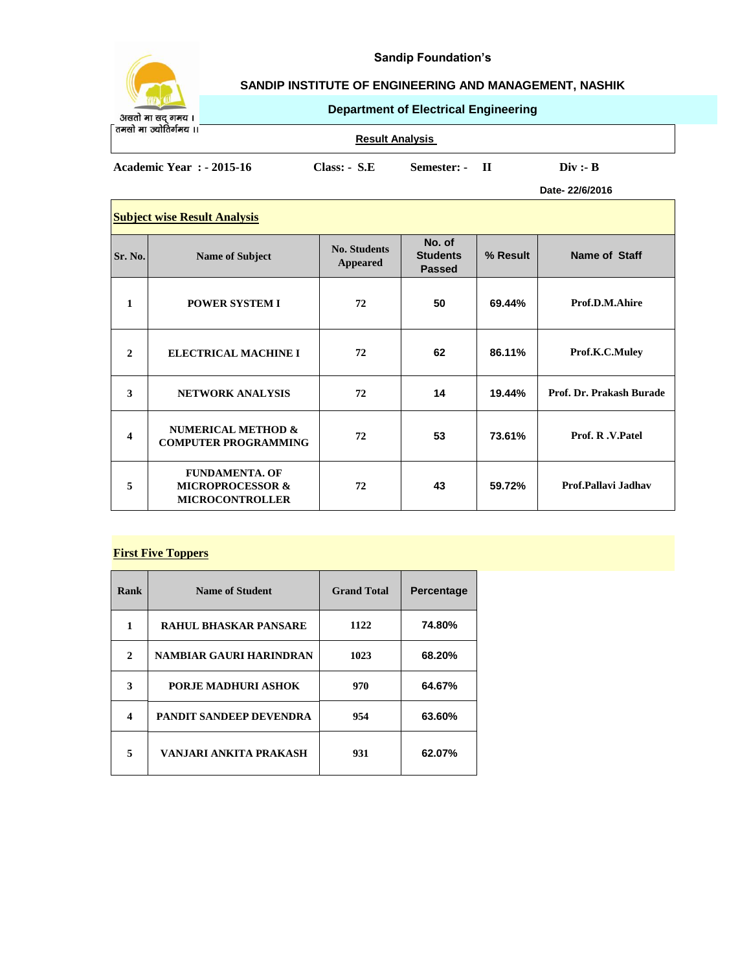

# **Sandip Foundation's**

# **SANDIP INSTITUTE OF ENGINEERING AND MANAGEMENT, NASHIK**

**Department of Electrical Engineering**

असतो मा सद् गमय ।<br>तमसो मा ज्योतिर्गमय ।।

 $\Box$ 

**Result Analysis** 

**Academic Year : - 2015-16 Class: - S.E Semester: - II Div :- B**

**Date- 22/6/2016**

| <b>Subject wise Result Analysis</b> |                                                                                |                                        |                                            |          |                          |
|-------------------------------------|--------------------------------------------------------------------------------|----------------------------------------|--------------------------------------------|----------|--------------------------|
| Sr. No.                             | <b>Name of Subject</b>                                                         | <b>No. Students</b><br><b>Appeared</b> | No. of<br><b>Students</b><br><b>Passed</b> | % Result | Name of Staff            |
| 1                                   | <b>POWER SYSTEM I</b>                                                          | 72                                     | 50                                         | 69.44%   | Prof.D.M.Ahire           |
| $\mathbf{2}$                        | <b>ELECTRICAL MACHINE I</b>                                                    | 72                                     | 62                                         | 86.11%   | Prof.K.C.Muley           |
| 3                                   | <b>NETWORK ANALYSIS</b>                                                        | 72                                     | 14                                         | 19.44%   | Prof. Dr. Prakash Burade |
| 4                                   | <b>NUMERICAL METHOD &amp;</b><br><b>COMPUTER PROGRAMMING</b>                   | 72                                     | 53                                         | 73.61%   | Prof. R.V.Patel          |
| 5                                   | <b>FUNDAMENTA, OF</b><br><b>MICROPROCESSOR &amp;</b><br><b>MICROCONTROLLER</b> | 72                                     | 43                                         | 59.72%   | Prof.Pallavi Jadhav      |

#### **First Five Toppers**

| Rank | <b>Name of Student</b>         | <b>Grand Total</b> | Percentage |
|------|--------------------------------|--------------------|------------|
| 1    | <b>RAHUL BHASKAR PANSARE</b>   | 1122               | 74.80%     |
| 2    | NAMBIAR GAURI HARINDRAN        | 1023               | 68.20%     |
| 3    | PORJE MADHURI ASHOK            | 970                | 64.67%     |
| 4    | <b>PANDIT SANDEEP DEVENDRA</b> | 954                | 63.60%     |
| 5    | VANJARI ANKITA PRAKASH         | 931                | 62.07%     |